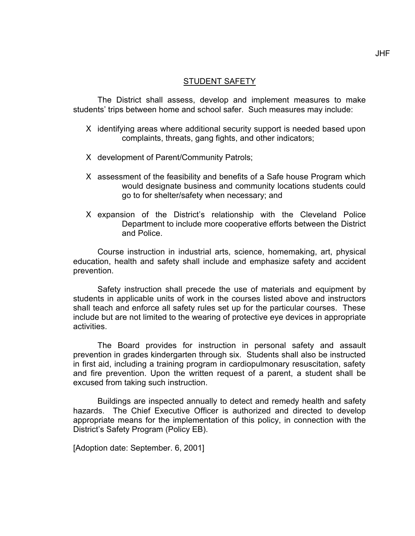## STUDENT SAFETY

The District shall assess, develop and implement measures to make students' trips between home and school safer. Such measures may include:

- Χ identifying areas where additional security support is needed based upon complaints, threats, gang fights, and other indicators;
- Χ development of Parent/Community Patrols;
- Χ assessment of the feasibility and benefits of a Safe house Program which would designate business and community locations students could go to for shelter/safety when necessary; and
- Χ expansion of the District's relationship with the Cleveland Police Department to include more cooperative efforts between the District and Police.

Course instruction in industrial arts, science, homemaking, art, physical education, health and safety shall include and emphasize safety and accident prevention.

Safety instruction shall precede the use of materials and equipment by students in applicable units of work in the courses listed above and instructors shall teach and enforce all safety rules set up for the particular courses. These include but are not limited to the wearing of protective eye devices in appropriate activities.

The Board provides for instruction in personal safety and assault prevention in grades kindergarten through six. Students shall also be instructed in first aid, including a training program in cardiopulmonary resuscitation, safety and fire prevention. Upon the written request of a parent, a student shall be excused from taking such instruction.

Buildings are inspected annually to detect and remedy health and safety hazards. The Chief Executive Officer is authorized and directed to develop appropriate means for the implementation of this policy, in connection with the District's Safety Program (Policy EB).

[Adoption date: September. 6, 2001]